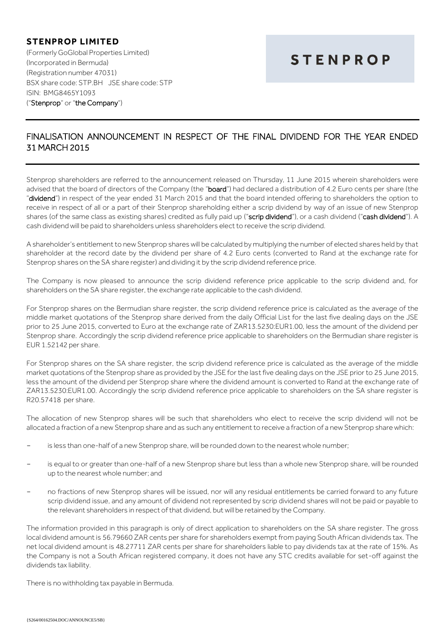## **STENPROP LIMITED**

(Formerly GoGlobal Properties Limited) (Incorporated in Bermuda) (Registration number 47031) BSX share code: STP.BH JSE share code: STP ISIN: BMG8465Y1093 ("Stenprop" or "the Company")

## **STENPROP**

## FINALISATION ANNOUNCEMENT IN RESPECT OF THE FINAL DIVIDEND FOR THE YEAR ENDED 31 MARCH 2015

Stenprop shareholders are referred to the announcement released on Thursday, 11 June 2015 wherein shareholders were advised that the board of directors of the Company (the "board") had declared a distribution of 4.2 Euro cents per share (the "dividend") in respect of the year ended 31 March 2015 and that the board intended offering to shareholders the option to receive in respect of all or a part of their Stenprop shareholding either a scrip dividend by way of an issue of new Stenprop shares (of the same class as existing shares) credited as fully paid up ("scrip dividend"), or a cash dividend ("cash dividend"). A cash dividend will be paid to shareholders unless shareholders elect to receive the scrip dividend.

A shareholder's entitlement to new Stenprop shares will be calculated by multiplying the number of elected shares held by that shareholder at the record date by the dividend per share of 4.2 Euro cents (converted to Rand at the exchange rate for Stenprop shares on the SA share register) and dividing it by the scrip dividend reference price.

The Company is now pleased to announce the scrip dividend reference price applicable to the scrip dividend and, for shareholders on the SA share register, the exchange rate applicable to the cash dividend.

For Stenprop shares on the Bermudian share register, the scrip dividend reference price is calculated as the average of the middle market quotations of the Stenprop share derived from the daily Official List for the last five dealing days on the JSE prior to 25 June 2015, converted to Euro at the exchange rate of ZAR13.5230:EUR1.00, less the amount of the dividend per Stenprop share. Accordingly the scrip dividend reference price applicable to shareholders on the Bermudian share register is EUR 1.52142 per share.

For Stenprop shares on the SA share register, the scrip dividend reference price is calculated as the average of the middle market quotations of the Stenprop share as provided by the JSE for the last five dealing days on the JSE prior to 25 June 2015, less the amount of the dividend per Stenprop share where the dividend amount is converted to Rand at the exchange rate of ZAR13.5230:EUR1.00. Accordingly the scrip dividend reference price applicable to shareholders on the SA share register is R20.57418 per share.

The allocation of new Stenprop shares will be such that shareholders who elect to receive the scrip dividend will not be allocated a fraction of a new Stenprop share and as such any entitlement to receive a fraction of a new Stenprop share which:

- is less than one-half of a new Stenprop share, will be rounded down to the nearest whole number;
- is equal to or greater than one-half of a new Stenprop share but less than a whole new Stenprop share, will be rounded up to the nearest whole number; and
- no fractions of new Stenprop shares will be issued, nor will any residual entitlements be carried forward to any future scrip dividend issue, and any amount of dividend not represented by scrip dividend shares will not be paid or payable to the relevant shareholders in respect of that dividend, but will be retained by the Company.

The information provided in this paragraph is only of direct application to shareholders on the SA share register. The gross local dividend amount is 56.79660 ZAR cents per share for shareholders exempt from paying South African dividends tax. The net local dividend amount is 48.27711 ZAR cents per share for shareholders liable to pay dividends tax at the rate of 15%. As the Company is not a South African registered company, it does not have any STC credits available for set-off against the dividends tax liability.

There is no withholding tax payable in Bermuda.